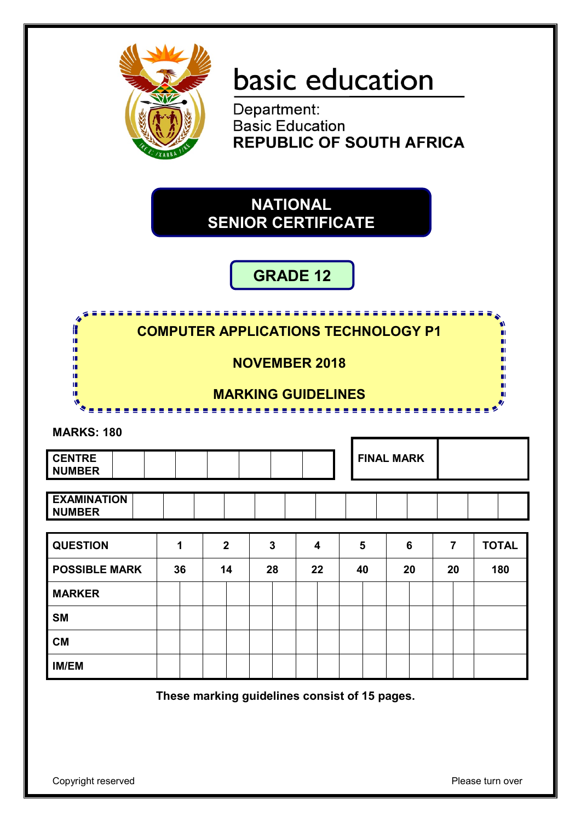

# basic education

Department: **Basic Education REPUBLIC OF SOUTH AFRICA** 

**NATIONAL SENIOR CERTIFICATE**

## **GRADE 12**

Æ **COMPUTER APPLICATIONS TECHNOLOGY P1**  'n I. ı. **NOVEMBER 2018** ı. т T **MARKING GUIDELINES** тĒ ------------------------**MARKS: 180 FINAL MARK CENTRE NUMBER EXAMINATION NUMBER QUESTION 1 2 3 4 5 6 7 TOTAL POSSIBLE MARK 36 14 28 22 40 20 20 180 MARKER SM CM IM/EM**

**These marking guidelines consist of 15 pages.**

Copyright reserved **Please turn over the Copyright reserved** Please turn over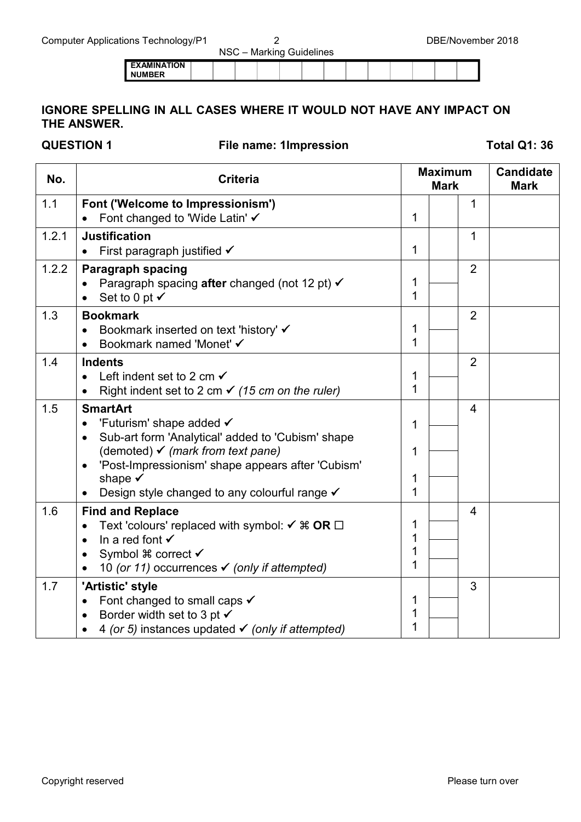|                                       | ___ |  | . |  |  |  |  |
|---------------------------------------|-----|--|---|--|--|--|--|
| <b>I EXAMINATION</b><br><b>NUMBER</b> |     |  |   |  |  |  |  |

### **IGNORE SPELLING IN ALL CASES WHERE IT WOULD NOT HAVE ANY IMPACT ON THE ANSWER.**

**QUESTION 1 File name: 1Impression Total Q1: 36**

| No.   | <b>Criteria</b>                                                                                                                                                                                                                                                                                      |                  | <b>Maximum</b><br><b>Mark</b> |                         | <b>Candidate</b><br><b>Mark</b> |
|-------|------------------------------------------------------------------------------------------------------------------------------------------------------------------------------------------------------------------------------------------------------------------------------------------------------|------------------|-------------------------------|-------------------------|---------------------------------|
| 1.1   | Font ('Welcome to Impressionism')<br>Font changed to 'Wide Latin' ✔                                                                                                                                                                                                                                  | 1                |                               | 1                       |                                 |
| 1.2.1 | <b>Justification</b><br>First paragraph justified $\checkmark$                                                                                                                                                                                                                                       | 1                |                               | $\mathbf{1}$            |                                 |
| 1.2.2 | <b>Paragraph spacing</b><br>Paragraph spacing after changed (not 12 pt) √<br>Set to 0 pt $\checkmark$                                                                                                                                                                                                | 1<br>1           |                               | $\overline{2}$          |                                 |
| 1.3   | <b>Bookmark</b><br>Bookmark inserted on text 'history' ✔<br>Bookmark named 'Monet' √<br>$\bullet$                                                                                                                                                                                                    | 1<br>1           |                               | $\overline{2}$          |                                 |
| 1.4   | <b>Indents</b><br>Left indent set to 2 cm $\checkmark$<br>$\bullet$<br>Right indent set to 2 cm $\checkmark$ (15 cm on the ruler)<br>$\bullet$                                                                                                                                                       | 1<br>1           |                               | $\overline{2}$          |                                 |
| 1.5   | <b>SmartArt</b><br>'Futurism' shape added $\checkmark$<br>Sub-art form 'Analytical' added to 'Cubism' shape<br>(demoted) $\checkmark$ (mark from text pane)<br>'Post-Impressionism' shape appears after 'Cubism'<br>$\bullet$<br>shape $\checkmark$<br>Design style changed to any colourful range √ | 1<br>1<br>1<br>1 |                               | $\overline{\mathbf{4}}$ |                                 |
| 1.6   | <b>Find and Replace</b><br>Text 'colours' replaced with symbol: $\checkmark$ # OR $\Box$<br>In a red font $\checkmark$<br>$\bullet$<br>Symbol $\frac{1}{2}$ correct $\checkmark$<br>$\bullet$<br>10 (or 11) occurrences $\checkmark$ (only if attempted)                                             | 1<br>1<br>1<br>1 |                               | $\overline{4}$          |                                 |
| 1.7   | 'Artistic' style<br>Font changed to small caps $\checkmark$<br>Border width set to 3 pt $\checkmark$<br>4 (or 5) instances updated $\checkmark$ (only if attempted)                                                                                                                                  | 1<br>1<br>1      |                               | 3                       |                                 |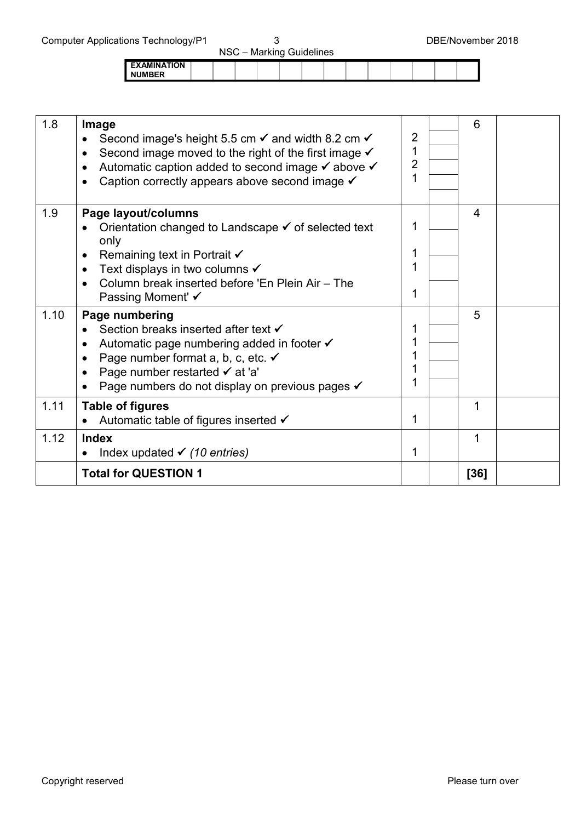| $1.9110 + 9.9111191997111$          |  | NSC - Marking Guidelines |  |  |  | ------------ |
|-------------------------------------|--|--------------------------|--|--|--|--------------|
| <b>EXAMINATION</b><br><b>NUMBER</b> |  |                          |  |  |  |              |

| 1.8  | Image<br>Second image's height 5.5 cm $\checkmark$ and width 8.2 cm $\checkmark$<br>Second image moved to the right of the first image $\checkmark$<br>$\bullet$<br>Automatic caption added to second image $\checkmark$ above $\checkmark$<br>Caption correctly appears above second image √ | $\overline{2}$<br>1<br>$\overline{2}$<br>1 | 6    |  |
|------|-----------------------------------------------------------------------------------------------------------------------------------------------------------------------------------------------------------------------------------------------------------------------------------------------|--------------------------------------------|------|--|
| 1.9  | Page layout/columns<br>Orientation changed to Landscape ✓ of selected text<br>only<br>Remaining text in Portrait $\checkmark$<br>Text displays in two columns ✔<br>$\bullet$<br>Column break inserted before 'En Plein Air - The<br>$\bullet$<br>Passing Moment' ✔                            | 1<br>1<br>1<br>1                           | 4    |  |
| 1.10 | Page numbering<br>Section breaks inserted after text √<br>Automatic page numbering added in footer <del>V</del><br>$\bullet$<br>Page number format a, b, c, etc. V<br>Page number restarted √ at 'a'<br>Page numbers do not display on previous pages √                                       | 1<br>1<br>1<br>1<br>1                      | 5    |  |
| 1.11 | <b>Table of figures</b><br>Automatic table of figures inserted √<br>$\bullet$                                                                                                                                                                                                                 | 1                                          | 1    |  |
| 1.12 | <b>Index</b><br>Index updated $\checkmark$ (10 entries)                                                                                                                                                                                                                                       | 1                                          | 1    |  |
|      | <b>Total for QUESTION 1</b>                                                                                                                                                                                                                                                                   |                                            | [36] |  |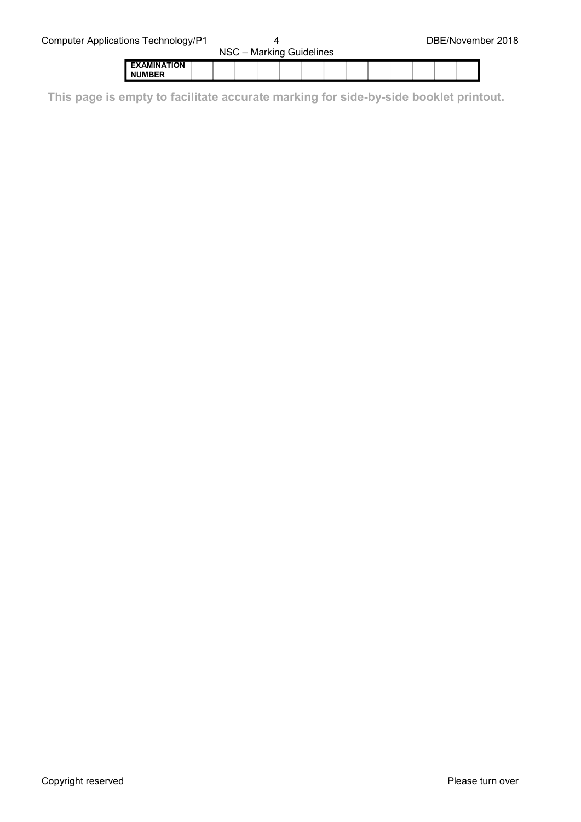|                                     | $1100 - 1000$ Nighting Outlook 1 |  |  |  |  |  |  |  |  |  |  |  |  |
|-------------------------------------|----------------------------------|--|--|--|--|--|--|--|--|--|--|--|--|
| <b>EXAMINATION</b><br><b>NUMBER</b> |                                  |  |  |  |  |  |  |  |  |  |  |  |  |

**This page is empty to facilitate accurate marking for side-by-side booklet printout.**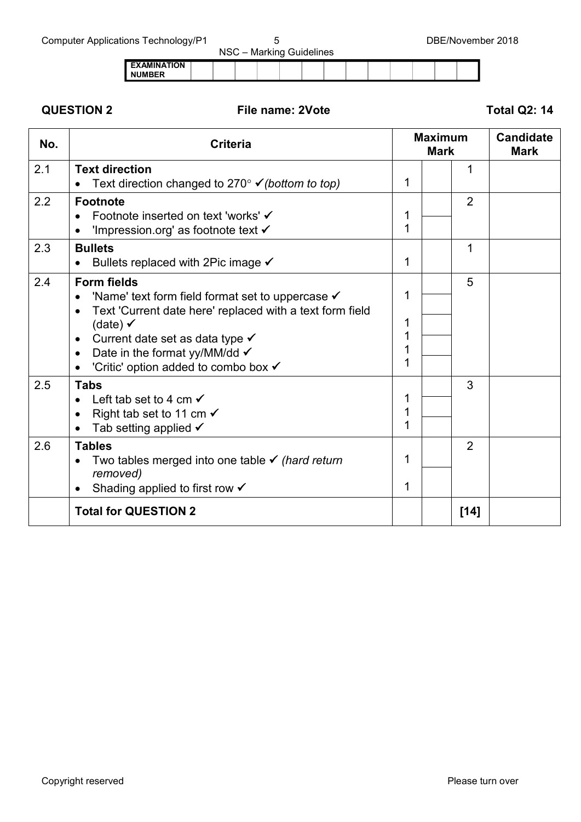|                                     |  |  | NSC - Marking Guidelines |  |  |  |  |
|-------------------------------------|--|--|--------------------------|--|--|--|--|
| <b>EXAMINATION</b><br><b>NUMBER</b> |  |  |                          |  |  |  |  |

### **QUESTION 2 File name: 2Vote Total Q2: 14**

| No. | <b>Criteria</b>                                                                                                                                                                                                                                                                                                                  |                  | <b>Maximum</b><br><b>Mark</b> |                | <b>Candidate</b><br><b>Mark</b> |
|-----|----------------------------------------------------------------------------------------------------------------------------------------------------------------------------------------------------------------------------------------------------------------------------------------------------------------------------------|------------------|-------------------------------|----------------|---------------------------------|
| 2.1 | <b>Text direction</b><br>Text direction changed to $270^\circ \checkmark$ (bottom to top)                                                                                                                                                                                                                                        | 1                |                               | 1              |                                 |
| 2.2 | <b>Footnote</b><br>Footnote inserted on text 'works' <del>V</del><br>'Impression.org' as footnote text $\checkmark$<br>$\bullet$                                                                                                                                                                                                 | 1<br>1           |                               | $\overline{2}$ |                                 |
| 2.3 | <b>Bullets</b><br>Bullets replaced with 2Pic image $\checkmark$                                                                                                                                                                                                                                                                  | 1                |                               | 1              |                                 |
| 2.4 | <b>Form fields</b><br>'Name' text form field format set to uppercase $\checkmark$<br>Text 'Current date here' replaced with a text form field<br>$\bullet$<br>(date) $\checkmark$<br>Current date set as data type <del>V</del><br>$\bullet$<br>Date in the format yy/MM/dd $\checkmark$<br>'Critic' option added to combo box √ | 1<br>1<br>1<br>1 |                               | 5              |                                 |
| 2.5 | <b>Tabs</b><br>Left tab set to 4 cm $\checkmark$<br>Right tab set to 11 cm $\checkmark$<br>$\bullet$<br>Tab setting applied $\checkmark$<br>$\bullet$                                                                                                                                                                            | 1<br>1<br>1      |                               | 3              |                                 |
| 2.6 | <b>Tables</b><br>Two tables merged into one table $\checkmark$ (hard return<br>removed)<br>Shading applied to first row $\checkmark$                                                                                                                                                                                             | 1<br>1           |                               | $\overline{2}$ |                                 |
|     | <b>Total for QUESTION 2</b>                                                                                                                                                                                                                                                                                                      |                  |                               | $[14]$         |                                 |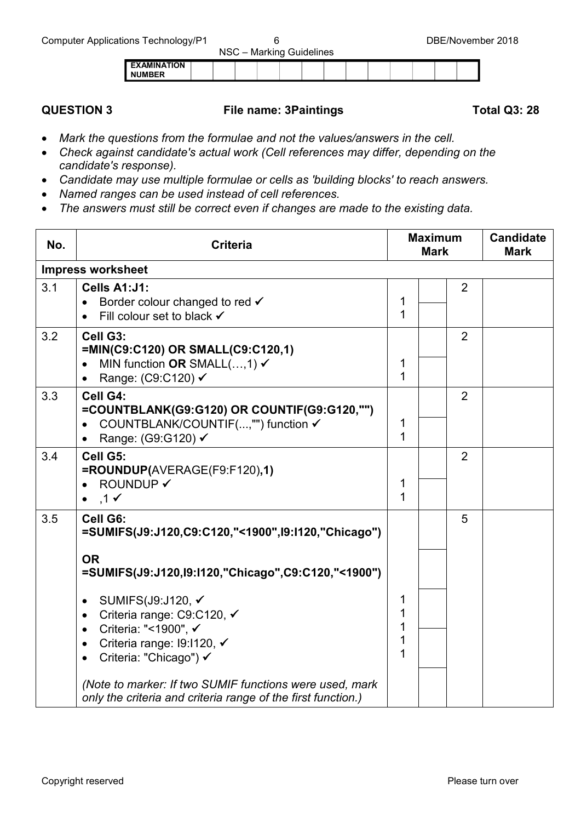|                    |  | - |  |  |  |  |
|--------------------|--|---|--|--|--|--|
| <b>EXAMINATION</b> |  |   |  |  |  |  |
| <b>NIIMRER</b>     |  |   |  |  |  |  |

### **QUESTION 3 File name: 3Paintings Total Q3: 28**

- *Mark the questions from the formulae and not the values/answers in the cell.*
- *Check against candidate's actual work (Cell references may differ, depending on the candidate's response).*
- *Candidate may use multiple formulae or cells as 'building blocks' to reach answers.*
- *Named ranges can be used instead of cell references.*
- *The answers must still be correct even if changes are made to the existing data.*

| No. | <b>Criteria</b>                                                                                                                                                                                                                                                                                                                                                                                                                             | <b>Maximum</b><br><b>Mark</b> |  |                | <b>Candidate</b><br><b>Mark</b> |
|-----|---------------------------------------------------------------------------------------------------------------------------------------------------------------------------------------------------------------------------------------------------------------------------------------------------------------------------------------------------------------------------------------------------------------------------------------------|-------------------------------|--|----------------|---------------------------------|
|     | <b>Impress worksheet</b>                                                                                                                                                                                                                                                                                                                                                                                                                    |                               |  |                |                                 |
| 3.1 | Cells A1:J1:<br>Border colour changed to red √<br>Fill colour set to black √                                                                                                                                                                                                                                                                                                                                                                | 1<br>1                        |  | $\overline{2}$ |                                 |
| 3.2 | Cell G3:<br>=MIN(C9:C120) OR SMALL(C9:C120,1)<br>MIN function OR SMALL $(,1) \checkmark$<br>Range: (C9:C120) ✔<br>$\bullet$                                                                                                                                                                                                                                                                                                                 | 1<br>$\mathbf 1$              |  | $\overline{2}$ |                                 |
| 3.3 | Cell G4:<br>=COUNTBLANK(G9:G120) OR COUNTIF(G9:G120,"")<br>COUNTBLANK/COUNTIF(,"") function √<br>Range: (G9:G120) √                                                                                                                                                                                                                                                                                                                         | 1<br>$\mathbf{1}$             |  | $\overline{2}$ |                                 |
| 3.4 | Cell G5:<br>=ROUNDUP(AVERAGE(F9:F120),1)<br><b>ROUNDUP ✔</b><br>$,1 \checkmark$                                                                                                                                                                                                                                                                                                                                                             | 1<br>$\mathbf{1}$             |  | $\overline{2}$ |                                 |
| 3.5 | Cell G6:<br>=SUMIFS(J9:J120,C9:C120,"<1900",I9:I120,"Chicago")<br><b>OR</b><br>=SUMIFS(J9:J120, 19:1120, "Chicago", C9: C120, "<1900")<br>SUMIFS(J9:J120, ✔<br>Criteria range: C9:C120, √<br>$\bullet$<br>Criteria: "<1900", √<br>$\bullet$<br>Criteria range: I9:I120, ✔<br>$\bullet$<br>Criteria: "Chicago") √<br>(Note to marker: If two SUMIF functions were used, mark<br>only the criteria and criteria range of the first function.) | 1<br>1<br>1<br>1<br>1         |  | 5              |                                 |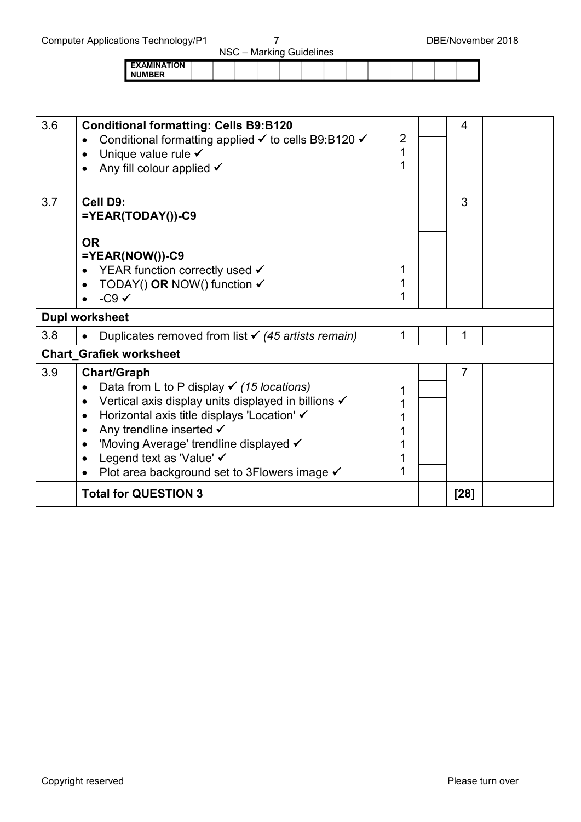|                                     | . |  |  |  |  |  |  |
|-------------------------------------|---|--|--|--|--|--|--|
| <b>EXAMINATION</b><br><b>NUMBER</b> |   |  |  |  |  |  |  |
|                                     |   |  |  |  |  |  |  |

| 3.6 | <b>Conditional formatting: Cells B9:B120</b><br>Conditional formatting applied <del>V</del> to cells B9:B120 V<br>Unique value rule $\checkmark$<br>Any fill colour applied $\checkmark$ | 2<br>1<br>1 | 4              |  |
|-----|------------------------------------------------------------------------------------------------------------------------------------------------------------------------------------------|-------------|----------------|--|
| 3.7 | Cell D9:<br>$=YEAR(TODAY))$ -C9                                                                                                                                                          |             | 3              |  |
|     | <b>OR</b><br>$=YEAR(NOW())$ -C9                                                                                                                                                          |             |                |  |
|     | YEAR function correctly used $\checkmark$                                                                                                                                                | 1           |                |  |
|     | TODAY() OR NOW() function $\checkmark$                                                                                                                                                   | 1           |                |  |
|     | $-C9$ $\checkmark$                                                                                                                                                                       |             |                |  |
|     | <b>Dupl worksheet</b>                                                                                                                                                                    |             |                |  |
| 3.8 | Duplicates removed from list $\checkmark$ (45 artists remain)                                                                                                                            | 1           | 1              |  |
|     | <b>Chart Grafiek worksheet</b>                                                                                                                                                           |             |                |  |
| 3.9 | <b>Chart/Graph</b>                                                                                                                                                                       |             | $\overline{7}$ |  |
|     | Data from L to P display $\checkmark$ (15 locations)                                                                                                                                     | 1           |                |  |
|     | Vertical axis display units displayed in billions √<br>$\bullet$                                                                                                                         |             |                |  |
|     | Horizontal axis title displays 'Location' ✔<br>$\bullet$                                                                                                                                 |             |                |  |
|     | Any trendline inserted $\checkmark$<br>$\bullet$                                                                                                                                         |             |                |  |
|     | 'Moving Average' trendline displayed √<br>$\bullet$                                                                                                                                      |             |                |  |
|     | Legend text as 'Value' √<br>$\bullet$                                                                                                                                                    |             |                |  |
|     | Plot area background set to 3Flowers image $\checkmark$                                                                                                                                  | 1           |                |  |
|     | <b>Total for QUESTION 3</b>                                                                                                                                                              |             | [28]           |  |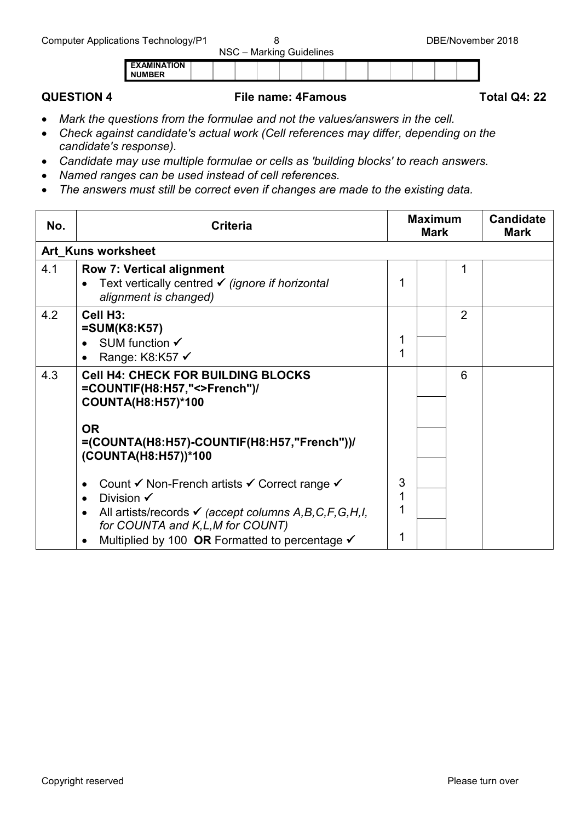| <b>EXAMINATION</b><br><b>NUMBER</b> |  |  |
|-------------------------------------|--|--|
|-------------------------------------|--|--|

### **QUESTION 4 File name: 4Famous Total Q4: 22**

- *Mark the questions from the formulae and not the values/answers in the cell.*
- *Check against candidate's actual work (Cell references may differ, depending on the candidate's response).*
- *Candidate may use multiple formulae or cells as 'building blocks' to reach answers.*
- *Named ranges can be used instead of cell references.*
- *The answers must still be correct even if changes are made to the existing data.*

| No. | <b>Criteria</b>                                                                                                                                                                                                                                             |   | <b>Maximum</b><br><b>Mark</b> | <b>Candidate</b><br><b>Mark</b> |  |
|-----|-------------------------------------------------------------------------------------------------------------------------------------------------------------------------------------------------------------------------------------------------------------|---|-------------------------------|---------------------------------|--|
|     | <b>Art Kuns worksheet</b>                                                                                                                                                                                                                                   |   |                               |                                 |  |
| 4.1 | <b>Row 7: Vertical alignment</b><br>Text vertically centred ✔ (ignore if horizontal<br>alignment is changed)                                                                                                                                                |   |                               | 1                               |  |
| 4.2 | Cell H <sub>3</sub> :<br>$=SUM(K8:K57)$<br>SUM function $\checkmark$<br>Range: K8:K57 √                                                                                                                                                                     |   |                               | $\overline{2}$                  |  |
| 4.3 | <b>Cell H4: CHECK FOR BUILDING BLOCKS</b><br>=COUNTIF(H8:H57,"<>French")/<br><b>COUNTA(H8:H57)*100</b>                                                                                                                                                      |   |                               | 6                               |  |
|     | <b>OR</b><br>=(COUNTA(H8:H57)-COUNTIF(H8:H57,"French"))/<br>(COUNTA(H8:H57))*100                                                                                                                                                                            |   |                               |                                 |  |
|     | Count V Non-French artists V Correct range V<br>$\bullet$<br>Division $\checkmark$<br>All artists/records $\checkmark$ (accept columns A, B, C, F, G, H, I,<br>for COUNTA and K,L,M for COUNT)<br>Multiplied by 100 OR Formatted to percentage $\checkmark$ | 3 |                               |                                 |  |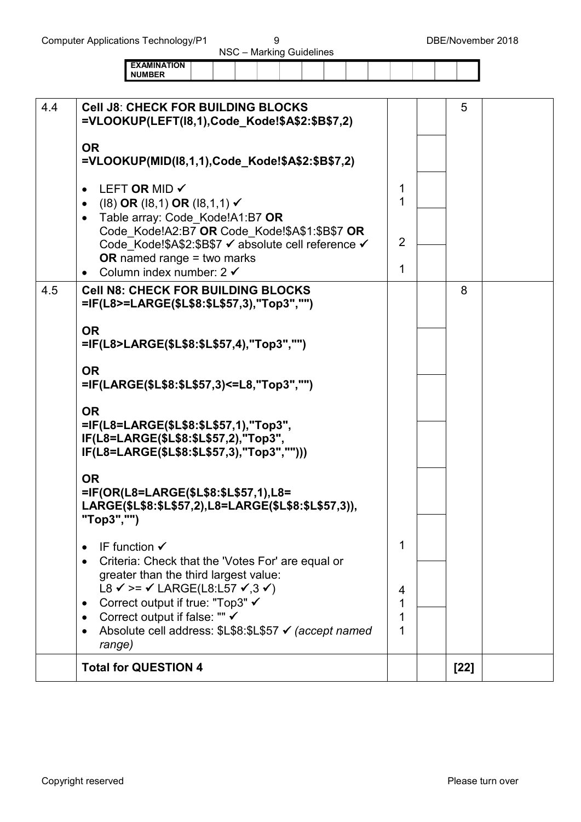| $1100 - 1000$ Nighting Outlieberg |  |  |  |  |  |  |  |  |  |  |  |  |  |
|-----------------------------------|--|--|--|--|--|--|--|--|--|--|--|--|--|
| EXAMINATION<br><b>NUMBER</b>      |  |  |  |  |  |  |  |  |  |  |  |  |  |

| 4.4<br><b>Cell J8: CHECK FOR BUILDING BLOCKS</b><br>=VLOOKUP(LEFT(18,1),Code Kode!\$A\$2:\$B\$7,2)                                   |   | 5      |  |
|--------------------------------------------------------------------------------------------------------------------------------------|---|--------|--|
| <b>OR</b><br>=VLOOKUP(MID(18,1,1),Code_Kode!\$A\$2:\$B\$7,2)                                                                         |   |        |  |
| LEFT OR MID ✔<br>$\bullet$<br>$(18)$ OR $(18,1)$ OR $(18,1,1)$ $\checkmark$<br>• Table array: Code_Kode!A1:B7 OR                     | 1 |        |  |
| Code_Kode!A2:B7 OR Code_Kode!\$A\$1:\$B\$7 OR<br>Code_Kode!\$A\$2:\$B\$7 √ absolute cell reference √<br>OR named range $=$ two marks | 2 |        |  |
| Column index number: $2 \checkmark$                                                                                                  | 1 |        |  |
| 4.5<br><b>Cell N8: CHECK FOR BUILDING BLOCKS</b><br>=IF(L8>=LARGE(\$L\$8:\$L\$57,3),"Top3","")                                       |   | 8      |  |
| <b>OR</b><br>=IF(L8>LARGE(\$L\$8:\$L\$57,4),"Top3","")                                                                               |   |        |  |
| <b>OR</b><br>=IF(LARGE(\$L\$8:\$L\$57,3)<=L8,"Top3","")                                                                              |   |        |  |
| <b>OR</b>                                                                                                                            |   |        |  |
| =IF(L8=LARGE(\$L\$8:\$L\$57,1),"Top3",<br>IF(L8=LARGE(\$L\$8:\$L\$57,2),"Top3",<br>IF(L8=LARGE(\$L\$8:\$L\$57,3),"Top3","")))        |   |        |  |
| <b>OR</b><br>=IF(OR(L8=LARGE(\$L\$8:\$L\$57,1),L8=<br>LARGE(\$L\$8:\$L\$57,2),L8=LARGE(\$L\$8:\$L\$57,3)),<br>"Top3","")             |   |        |  |
| IF function $\checkmark$                                                                                                             | 1 |        |  |
| Criteria: Check that the 'Votes For' are equal or<br>greater than the third largest value:                                           |   |        |  |
| L8 $\checkmark$ >= $\checkmark$ LARGE(L8:L57 $\checkmark$ ,3 $\checkmark$ )                                                          | 4 |        |  |
| Correct output if true: "Top3" ✔<br>Correct output if false: "" ✔                                                                    | 1 |        |  |
| Absolute cell address: \$L\$8:\$L\$57 √ (accept named<br>range)                                                                      |   |        |  |
| <b>Total for QUESTION 4</b>                                                                                                          |   | $[22]$ |  |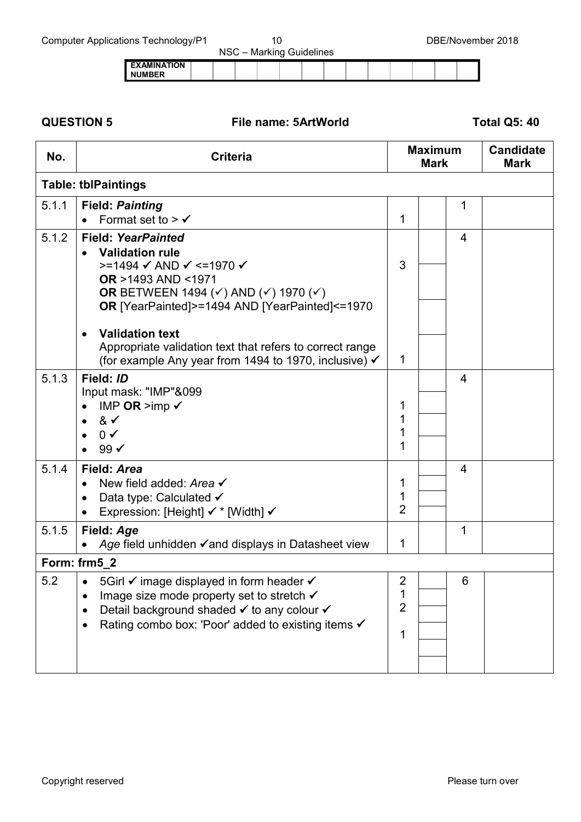| ັ                                     |  |  | NSC - Marking Guidelines |  |  |  |  |
|---------------------------------------|--|--|--------------------------|--|--|--|--|
| <b>I EXAMINATION</b><br><b>NUMBER</b> |  |  |                          |  |  |  |  |

**QUESTION 5 File name: 5ArtWorld Total Q5: 40**

| No.   | <b>Criteria</b>                                                                                                                                                                                                                                                                                                                                                     |                                            | <b>Maximum</b><br><b>Mark</b> | <b>Candidate</b><br><b>Mark</b> |
|-------|---------------------------------------------------------------------------------------------------------------------------------------------------------------------------------------------------------------------------------------------------------------------------------------------------------------------------------------------------------------------|--------------------------------------------|-------------------------------|---------------------------------|
|       | <b>Table: tblPaintings</b>                                                                                                                                                                                                                                                                                                                                          |                                            |                               |                                 |
| 5.1.1 | <b>Field: Painting</b><br>Format set to $> \checkmark$                                                                                                                                                                                                                                                                                                              | 1                                          | 1                             |                                 |
| 5.1.2 | <b>Field: YearPainted</b><br><b>Validation rule</b><br>>=1494 $\checkmark$ AND $\checkmark$ <=1970 $\checkmark$<br><b>OR</b> >1493 AND <1971<br>OR BETWEEN 1494 ( $\checkmark$ ) AND ( $\checkmark$ ) 1970 ( $\checkmark$ )<br>OR [YearPainted]>=1494 AND [YearPainted]<=1970<br><b>Validation text</b><br>Appropriate validation text that refers to correct range | 3                                          | 4                             |                                 |
| 5.1.3 | (for example Any year from 1494 to 1970, inclusive) √<br>Field: ID<br>Input mask: "IMP"&099<br>IMP OR $>imp \checkmark$<br>& $\checkmark$<br>$0 \checkmark$<br>99 ✔                                                                                                                                                                                                 | 1<br>1<br>1<br>1<br>1                      | 4                             |                                 |
| 5.1.4 | Field: Area<br>New field added: Area √<br>Data type: Calculated √<br>$\bullet$<br>Expression: [Height] $\checkmark$ * [Width] $\checkmark$                                                                                                                                                                                                                          | 1<br>1<br>$\overline{2}$                   | 4                             |                                 |
| 5.1.5 | Field: Age<br>Age field unhidden $\checkmark$ and displays in Datasheet view                                                                                                                                                                                                                                                                                        | 1                                          | 1                             |                                 |
|       | Form: frm5_2                                                                                                                                                                                                                                                                                                                                                        |                                            |                               |                                 |
| 5.2   | 5Girl v image displayed in form header v<br>Image size mode property set to stretch <del>V</del><br>$\bullet$<br>Detail background shaded v to any colour v<br>Rating combo box: 'Poor' added to existing items √                                                                                                                                                   | $\overline{2}$<br>1<br>$\overline{2}$<br>1 | 6                             |                                 |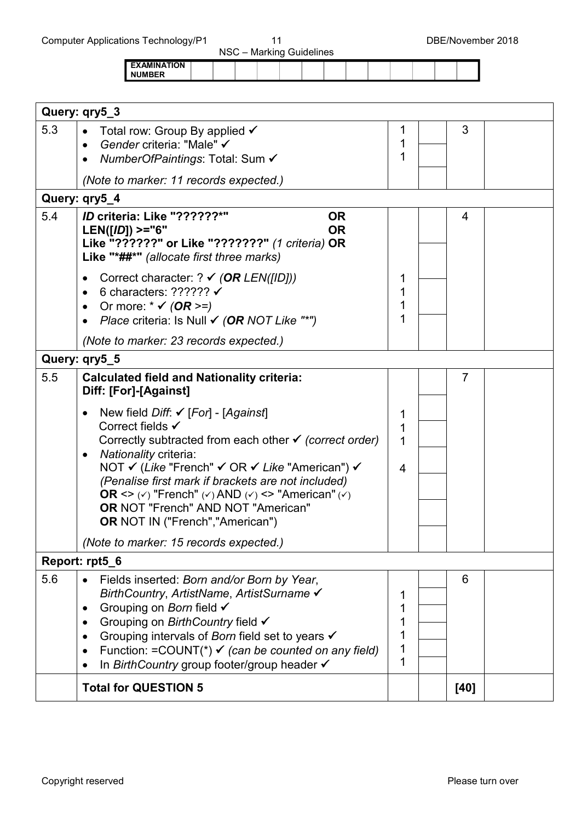NSC – Marking Guidelines **EXAMINATION NUMBER**

| Query: qry5_3                                                                                                                                                                                                                                                                                                                                                                                                                                                                                                      |                  |      |  |
|--------------------------------------------------------------------------------------------------------------------------------------------------------------------------------------------------------------------------------------------------------------------------------------------------------------------------------------------------------------------------------------------------------------------------------------------------------------------------------------------------------------------|------------------|------|--|
| 5.3<br>Total row: Group By applied <del>V</del><br>$\bullet$<br>Gender criteria: "Male" √<br>$\bullet$<br>NumberOfPaintings: Total: Sum ✔                                                                                                                                                                                                                                                                                                                                                                          | 1                | 3    |  |
| (Note to marker: 11 records expected.)                                                                                                                                                                                                                                                                                                                                                                                                                                                                             |                  |      |  |
| Query: qry5_4                                                                                                                                                                                                                                                                                                                                                                                                                                                                                                      |                  |      |  |
| 5.4<br>ID criteria: Like "??????*"<br><b>OR</b><br><b>OR</b><br>$LEN([ID]) >= "6"$<br>Like "??????" or Like "???????" (1 criteria) OR<br>Like "*##*" (allocate first three marks)                                                                                                                                                                                                                                                                                                                                  |                  | 4    |  |
| Correct character: ? $\checkmark$ (OR LEN([ID]))<br>$\bullet$<br>6 characters: ?????? $\checkmark$<br>Or more: $*\checkmark$ (OR >=)<br>Place criteria: Is Null $\checkmark$ (OR NOT Like "*")<br>$\bullet$                                                                                                                                                                                                                                                                                                        | 1                |      |  |
| (Note to marker: 23 records expected.)                                                                                                                                                                                                                                                                                                                                                                                                                                                                             |                  |      |  |
| Query: qry5_5                                                                                                                                                                                                                                                                                                                                                                                                                                                                                                      |                  |      |  |
| 5.5<br><b>Calculated field and Nationality criteria:</b><br>Diff: [For]-[Against]                                                                                                                                                                                                                                                                                                                                                                                                                                  |                  | 7    |  |
| New field <i>Diff</i> : $\checkmark$ [For] - [Against]<br>$\bullet$<br>Correct fields √<br>Correctly subtracted from each other $\checkmark$ (correct order)<br>Nationality criteria:<br>$\bullet$<br>NOT V (Like "French" V OR V Like "American") V<br>(Penalise first mark if brackets are not included)<br>OR $\langle \rangle$ ( $\vee$ ) "French" ( $\vee$ ) AND ( $\vee$ ) $\langle \rangle$ = "American" ( $\vee$ )<br><b>OR NOT "French" AND NOT "American"</b><br><b>OR NOT IN ("French", "American")</b> | 1<br>1<br>1<br>4 |      |  |
| (Note to marker: 15 records expected.)                                                                                                                                                                                                                                                                                                                                                                                                                                                                             |                  |      |  |
| Report: rpt5_6                                                                                                                                                                                                                                                                                                                                                                                                                                                                                                     |                  |      |  |
| 5.6<br>Fields inserted: Born and/or Born by Year,<br>$\bullet$<br>BirthCountry, ArtistName, ArtistSurname √<br>Grouping on Born field √<br>٠<br>Grouping on BirthCountry field √<br>Grouping intervals of Born field set to years $\checkmark$<br>٠<br>Function: =COUNT(*) $\checkmark$ (can be counted on any field)<br>$\bullet$<br>In BirthCountry group footer/group header V                                                                                                                                  | 1                | 6    |  |
| <b>Total for QUESTION 5</b>                                                                                                                                                                                                                                                                                                                                                                                                                                                                                        |                  | [40] |  |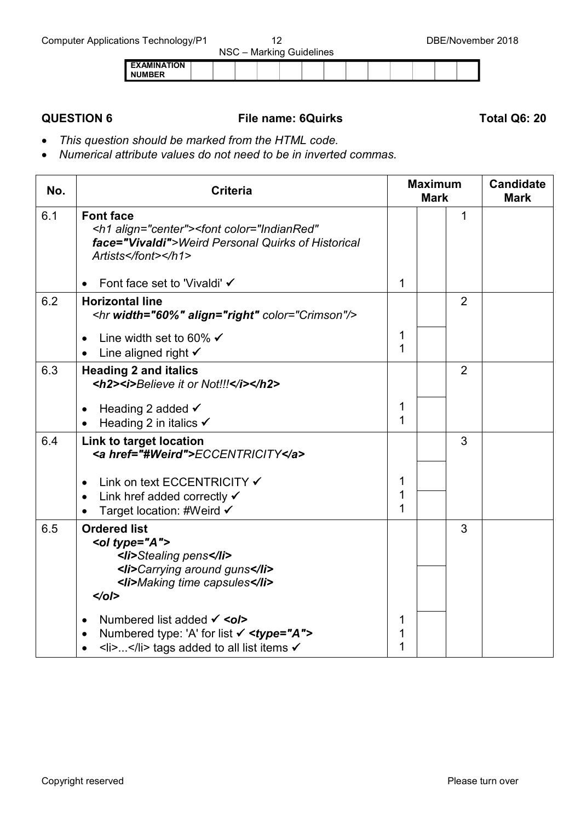| --                                  |  |  | NSC - Marking Guidelines |  |  |  |  |
|-------------------------------------|--|--|--------------------------|--|--|--|--|
| <b>EXAMINATION</b><br><b>NUMBER</b> |  |  |                          |  |  |  |  |

### **QUESTION 6 File name: 6Quirks Total Q6: 20**

- *This question should be marked from the HTML code.*
- *Numerical attribute values do not need to be in inverted commas.*

| No. | <b>Criteria</b>                                                                                                                                                                                                                                                                            |             | <b>Maximum</b><br><b>Mark</b> | <b>Candidate</b><br><b>Mark</b> |  |  |
|-----|--------------------------------------------------------------------------------------------------------------------------------------------------------------------------------------------------------------------------------------------------------------------------------------------|-------------|-------------------------------|---------------------------------|--|--|
| 6.1 | <b>Font face</b><br><h1 align="center"><font <br="" color="IndianRed">face="Vivaldi"&gt;Weird Personal Quirks of Historical<br/>Artists</font></h1>                                                                                                                                        |             |                               | 1                               |  |  |
|     | Font face set to 'Vivaldi' √                                                                                                                                                                                                                                                               | 1           |                               |                                 |  |  |
| 6.2 | <b>Horizontal line</b><br><hr align="right" color="Crimson" width="60%"/>                                                                                                                                                                                                                  |             |                               | $\overline{2}$                  |  |  |
|     | Line width set to 60% $\checkmark$<br>Line aligned right $\checkmark$                                                                                                                                                                                                                      | 1<br>1      |                               |                                 |  |  |
| 6.3 | <b>Heading 2 and italics</b><br><h2><i>Believe it or Not!!!</i></h2>                                                                                                                                                                                                                       |             |                               | $\overline{2}$                  |  |  |
|     | Heading 2 added $\checkmark$<br>$\bullet$<br>Heading 2 in italics $\checkmark$<br>$\bullet$                                                                                                                                                                                                | 1<br>1      |                               |                                 |  |  |
| 6.4 | Link to target location<br><a href="#Weird">ECCENTRICITY</a>                                                                                                                                                                                                                               |             |                               | 3                               |  |  |
|     | Link on text ECCENTRICITY ✔<br>$\bullet$<br>Link href added correctly $\checkmark$<br>$\bullet$<br>Target location: #Weird √                                                                                                                                                               | 1<br>1<br>1 |                               |                                 |  |  |
| 6.5 | <b>Ordered list</b><br><ol type="A"><br/><li>Stealing pens</li><br/><li>Carrying around guns</li><br/><li>Making time capsules</li><br/><math>\langle</math>ol&gt;</ol>                                                                                                                    |             |                               | 3                               |  |  |
|     | Numbered list added $\checkmark$ < ol><br>Numbered type: 'A' for list $\checkmark$ <type="a"><br/><math display="inline">\bullet</math><br/><math>\langle</math>li&gt;<math>\langle</math>/li&gt; tags added to all list items <math>\checkmark</math><br/><math>\bullet</math></type="a"> | 1<br>1      |                               |                                 |  |  |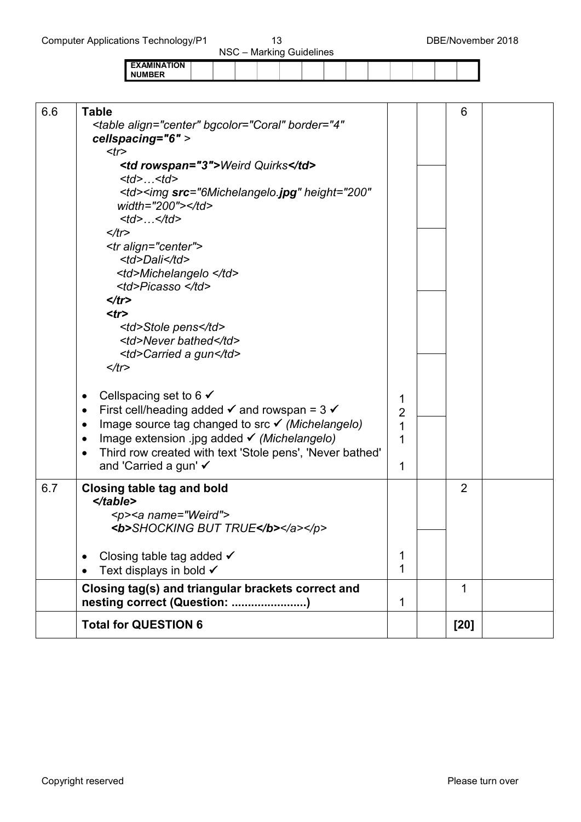|                    | . |  |  |  |  |  |  |
|--------------------|---|--|--|--|--|--|--|
| <b>EXAMINATION</b> |   |  |  |  |  |  |  |
| <b>NUMBER</b>      |   |  |  |  |  |  |  |
|                    |   |  |  |  |  |  |  |

| 6.6  | <b>Table</b><br><table <br="" align="center" bgcolor="Coral" border="4">cellspacing="6" &gt;<br/><math>&lt;</math>tr<math>&gt;</math></table> |                | 6                                                               |  |  |  |
|------|-----------------------------------------------------------------------------------------------------------------------------------------------|----------------|-----------------------------------------------------------------|--|--|--|
|      | <td rowspan="3">Weird Quirks</td><br>< t d >  < t d >                                                                                         | Weird Quirks   |                                                                 |  |  |  |
|      | <td><img <br="" height="200" src="6Michelangelo.jpg"/>width="200"&gt;</td><br>$ltd>$ $lt/d>$                                                  |                | <img <br="" height="200" src="6Michelangelo.jpg"/> width="200"> |  |  |  |
|      | $\lt/t$ r>                                                                                                                                    |                |                                                                 |  |  |  |
|      | <tr align="center"><br/><td>Dali</td></tr>                                                                                                    | Dali           |                                                                 |  |  |  |
| Dali |                                                                                                                                               |                |                                                                 |  |  |  |
|      | <td>Michelangelo </td><br><td>Picasso </td><br>$\langle tr \rangle$                                                                           | Michelangelo   | Picasso                                                         |  |  |  |
|      |                                                                                                                                               |                |                                                                 |  |  |  |
|      | $<$ tr $>$                                                                                                                                    |                |                                                                 |  |  |  |
|      | <td>Stole pens</td>                                                                                                                           | Stole pens     |                                                                 |  |  |  |
|      | <td>Never bathed</td>                                                                                                                         | Never bathed   |                                                                 |  |  |  |
|      | <td>Carried a gun</td>                                                                                                                        | Carried a gun  |                                                                 |  |  |  |
|      | $\lt/t$ r>                                                                                                                                    |                |                                                                 |  |  |  |
|      |                                                                                                                                               |                |                                                                 |  |  |  |
|      | Cellspacing set to 6 $\checkmark$<br>$\bullet$                                                                                                | 1              |                                                                 |  |  |  |
|      | First cell/heading added $\checkmark$ and rowspan = 3 $\checkmark$<br>$\bullet$                                                               | $\overline{2}$ |                                                                 |  |  |  |
|      | Image source tag changed to src $\checkmark$ (Michelangelo)<br>$\bullet$                                                                      | 1              |                                                                 |  |  |  |
|      | Image extension .jpg added √ (Michelangelo)<br>$\bullet$                                                                                      | 1              |                                                                 |  |  |  |
|      | Third row created with text 'Stole pens', 'Never bathed'<br>$\bullet$                                                                         |                |                                                                 |  |  |  |
|      | and 'Carried a gun' ✓                                                                                                                         | 1              |                                                                 |  |  |  |
| 6.7  | <b>Closing table tag and bold</b><br>$\langle$ table>                                                                                         |                | $\overline{2}$                                                  |  |  |  |
|      | <p><a name="Weird"></a></p>                                                                                                                   |                |                                                                 |  |  |  |
|      | <b>SHOCKING BUT TRUE</b>                                                                                                                      |                |                                                                 |  |  |  |
|      |                                                                                                                                               |                |                                                                 |  |  |  |
|      | Closing table tag added $\checkmark$                                                                                                          | 1              |                                                                 |  |  |  |
|      | Text displays in bold √                                                                                                                       | 1              |                                                                 |  |  |  |
|      | Closing tag(s) and triangular brackets correct and                                                                                            |                | 1                                                               |  |  |  |
|      | nesting correct (Question: )                                                                                                                  | 1              |                                                                 |  |  |  |
|      | <b>Total for QUESTION 6</b>                                                                                                                   |                | [20]                                                            |  |  |  |
|      |                                                                                                                                               |                |                                                                 |  |  |  |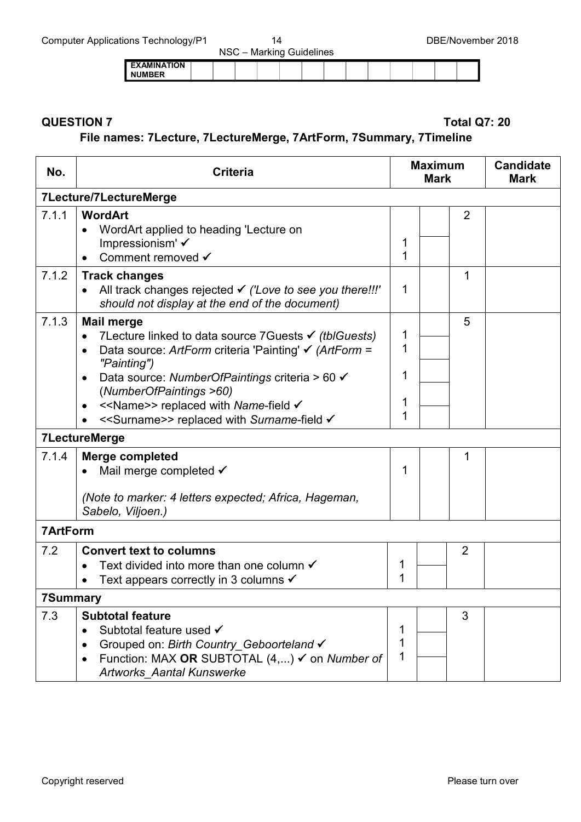| --                                  |  |  | NSC - Marking Guidelines |  |  |  |  |
|-------------------------------------|--|--|--------------------------|--|--|--|--|
| <b>EXAMINATION</b><br><b>NUMBER</b> |  |  |                          |  |  |  |  |

### **QUESTION 7 Total Q7: 20**

### **File names: 7Lecture, 7LectureMerge, 7ArtForm, 7Summary, 7Timeline**

| No.             | <b>Criteria</b>                                                                                                                                                                                                                                                                                                                                                                                | <b>Maximum</b><br><b>Mark</b> |  |                | <b>Candidate</b><br><b>Mark</b> |
|-----------------|------------------------------------------------------------------------------------------------------------------------------------------------------------------------------------------------------------------------------------------------------------------------------------------------------------------------------------------------------------------------------------------------|-------------------------------|--|----------------|---------------------------------|
|                 | 7Lecture/7LectureMerge                                                                                                                                                                                                                                                                                                                                                                         |                               |  |                |                                 |
| 7.1.1           | <b>WordArt</b><br>WordArt applied to heading 'Lecture on<br>Impressionism' √<br>Comment removed √                                                                                                                                                                                                                                                                                              | 1<br>1                        |  | $\overline{2}$ |                                 |
| 7.1.2           | <b>Track changes</b><br>All track changes rejected v ('Love to see you there!!!'<br>should not display at the end of the document)                                                                                                                                                                                                                                                             | 1                             |  | 1              |                                 |
| 7.1.3           | <b>Mail merge</b><br>7Lecture linked to data source 7Guests $\checkmark$ (tblGuests)<br>$\bullet$<br>Data source: ArtForm criteria 'Painting' $\checkmark$ (ArtForm =<br>"Painting")<br>Data source: NumberOfPaintings criteria > 60 √<br>$\bullet$<br>(NumberOfPaintings >60)<br>< <name>&gt; replaced with Name-field √<br/>&lt;<surname>&gt; replaced with Surname-field √</surname></name> | 1<br>1<br>1<br>1<br>1         |  | 5              |                                 |
|                 | <b>7LectureMerge</b>                                                                                                                                                                                                                                                                                                                                                                           |                               |  |                |                                 |
| 7.1.4           | <b>Merge completed</b><br>Mail merge completed $\checkmark$<br>(Note to marker: 4 letters expected; Africa, Hageman,<br>Sabelo, Viljoen.)                                                                                                                                                                                                                                                      | 1                             |  | 1              |                                 |
| <b>7ArtForm</b> |                                                                                                                                                                                                                                                                                                                                                                                                |                               |  |                |                                 |
| 7.2             | <b>Convert text to columns</b><br>Text divided into more than one column $\checkmark$<br>$\bullet$<br>Text appears correctly in 3 columns $\checkmark$                                                                                                                                                                                                                                         | 1<br>1                        |  | $\overline{2}$ |                                 |
| 7Summary        |                                                                                                                                                                                                                                                                                                                                                                                                |                               |  |                |                                 |
| 7.3             | <b>Subtotal feature</b><br>Subtotal feature used √<br>$\bullet$<br>Grouped on: Birth Country_Geboorteland √<br>Function: MAX OR SUBTOTAL (4,) ✓ on Number of<br><b>Artworks Aantal Kunswerke</b>                                                                                                                                                                                               | 1<br>1<br>1                   |  | 3              |                                 |